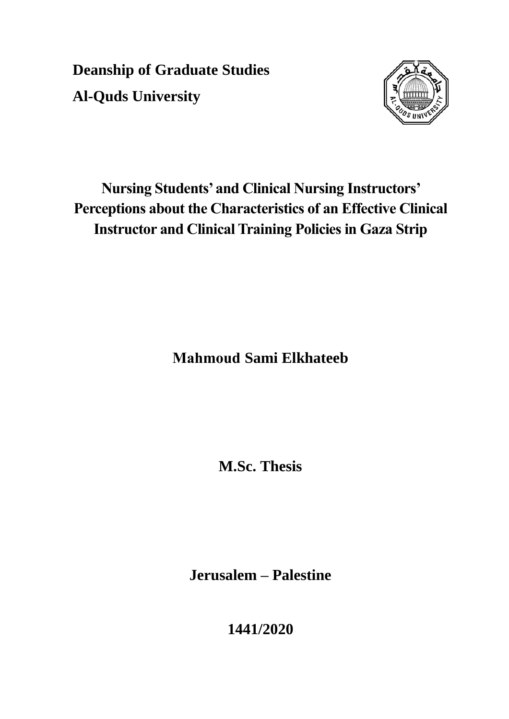**Deanship of Graduate Studies Al-Quds University**



# **Nursing Students' and Clinical Nursing Instructors' Perceptions about the Characteristics of an Effective Clinical Instructor and Clinical Training Policies in Gaza Strip**

**Mahmoud Sami Elkhateeb** 

**M.Sc. Thesis**

**Jerusalem – Palestine**

**1441/2020**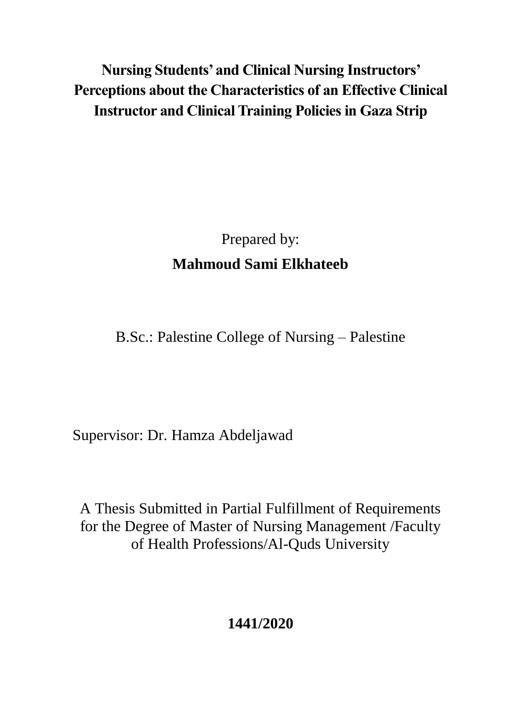# **Nursing Students' and Clinical Nursing Instructors' Perceptions about the Characteristics of an Effective Clinical Instructor and Clinical Training Policies in Gaza Strip**

# Prepared by: **Mahmoud Sami Elkhateeb**

B.Sc.: Palestine College of Nursing – Palestine

Supervisor: Dr. Hamza Abdeljawad

A Thesis Submitted in Partial Fulfillment of Requirements for the Degree of Master of Nursing Management /Faculty of Health Professions/Al-Quds University

**1441/2020**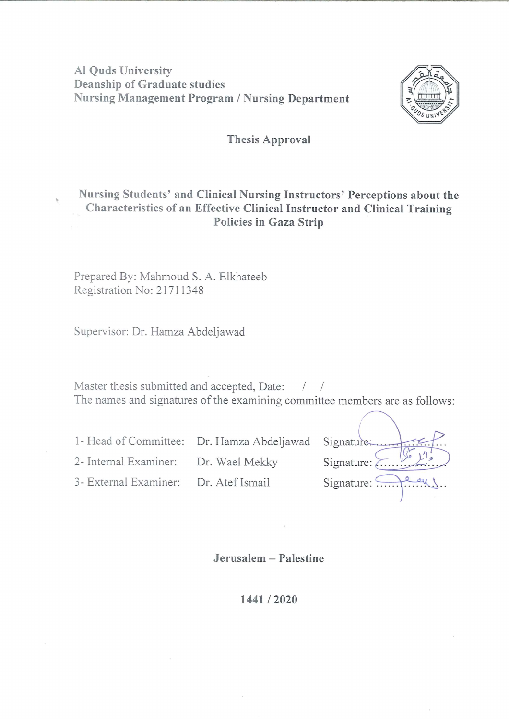**Al Quds University Deanship of Graduate studies Nursing Management Program / Nursing Department** 



#### **Thesis Approval**

### Nursing Students' and Clinical Nursing Instructors' Perceptions about the Characteristics of an Effective Clinical Instructor and Clinical Training Policies in Gaza Strip

Prepared By: Mahmoud S. A. Elkhateeb Registration No: 21711348

Supervisor: Dr. Hamza Abdeljawad

Master thesis submitted and accepted, Date: / / The names and signatures of the examining committee members are as follows:

| 1- Head of Committee: Dr. Hamza Abdeljawad Signature:   |
|---------------------------------------------------------|
| Signature:<br>2- Internal Examiner: Dr. Wael Mekky      |
| Signature: Peu<br>3- External Examiner: Dr. Atef Ismail |
|                                                         |

Jerusalem - Palestine

1441/2020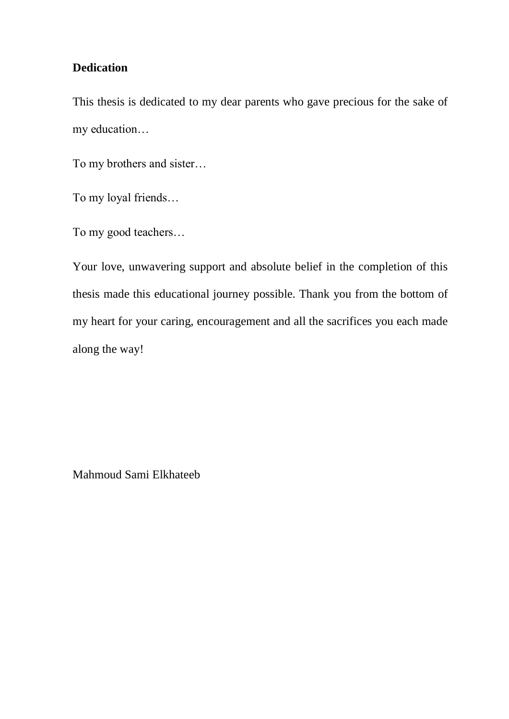### **Dedication**

This thesis is dedicated to my dear parents who gave precious for the sake of my education…

To my brothers and sister…

To my loyal friends…

To my good teachers…

Your love, unwavering support and absolute belief in the completion of this thesis made this educational journey possible. Thank you from the bottom of my heart for your caring, encouragement and all the sacrifices you each made along the way!

Mahmoud Sami Elkhateeb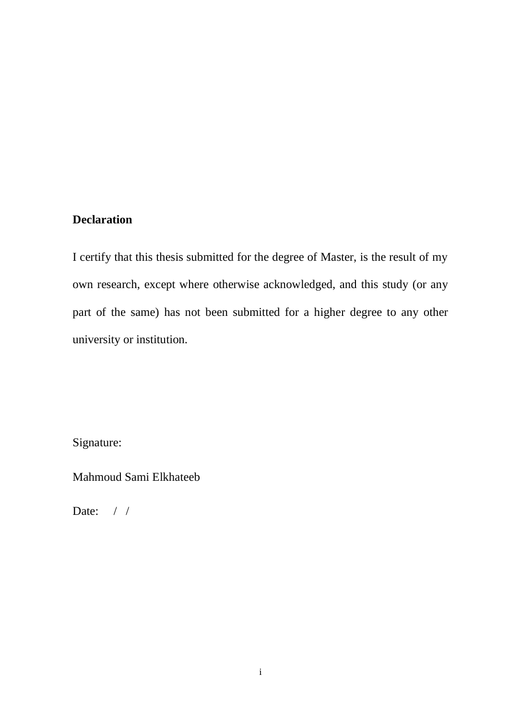#### <span id="page-4-0"></span>**Declaration**

I certify that this thesis submitted for the degree of Master, is the result of my own research, except where otherwise acknowledged, and this study (or any part of the same) has not been submitted for a higher degree to any other university or institution.

Signature:

Mahmoud Sami Elkhateeb

Date: / /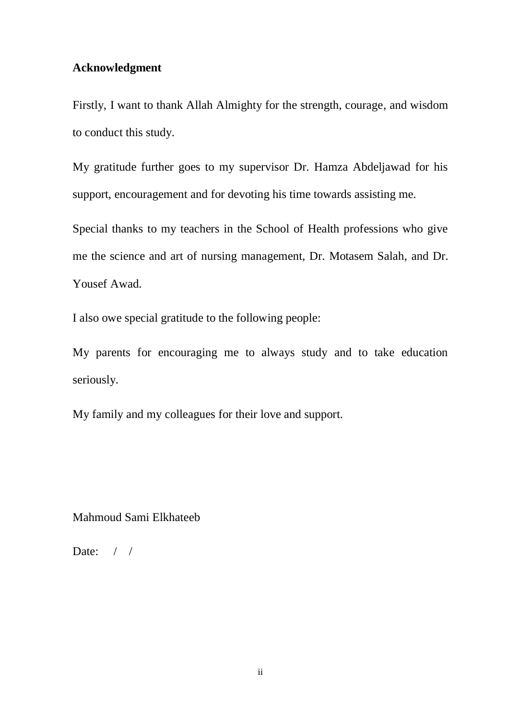### <span id="page-5-0"></span>**Acknowledgment**

Firstly, I want to thank Allah Almighty for the strength, courage, and wisdom to conduct this study.

My gratitude further goes to my supervisor Dr. Hamza Abdeljawad for his support, encouragement and for devoting his time towards assisting me.

Special thanks to my teachers in the School of Health professions who give me the science and art of nursing management, Dr. Motasem Salah, and Dr. Yousef Awad.

I also owe special gratitude to the following people:

My parents for encouraging me to always study and to take education seriously.

My family and my colleagues for their love and support.

Mahmoud Sami Elkhateeb

Date: / /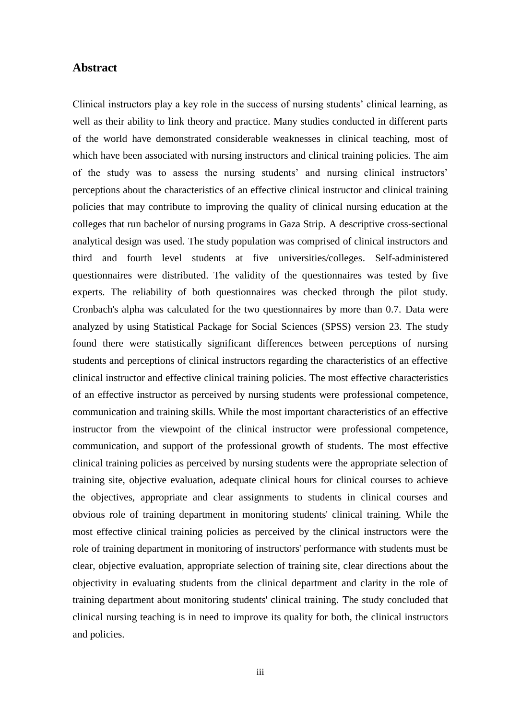#### <span id="page-6-0"></span>**Abstract**

Clinical instructors play a key role in the success of nursing students" clinical learning, as well as their ability to link theory and practice. Many studies conducted in different parts of the world have demonstrated considerable weaknesses in clinical teaching, most of which have been associated with nursing instructors and clinical training policies. The aim of the study was to assess the nursing students' and nursing clinical instructors' perceptions about the characteristics of an effective clinical instructor and clinical training policies that may contribute to improving the quality of clinical nursing education at the colleges that run bachelor of nursing programs in Gaza Strip. A descriptive cross-sectional analytical design was used. The study population was comprised of clinical instructors and third and fourth level students at five universities/colleges. Self-administered questionnaires were distributed. The validity of the questionnaires was tested by five experts. The reliability of both questionnaires was checked through the pilot study. Cronbach's alpha was calculated for the two questionnaires by more than 0.7. Data were analyzed by using Statistical Package for Social Sciences (SPSS) version 23. The study found there were statistically significant differences between perceptions of nursing students and perceptions of clinical instructors regarding the characteristics of an effective clinical instructor and effective clinical training policies. The most effective characteristics of an effective instructor as perceived by nursing students were professional competence, communication and training skills. While the most important characteristics of an effective instructor from the viewpoint of the clinical instructor were professional competence, communication, and support of the professional growth of students. The most effective clinical training policies as perceived by nursing students were the appropriate selection of training site, objective evaluation, adequate clinical hours for clinical courses to achieve the objectives, appropriate and clear assignments to students in clinical courses and obvious role of training department in monitoring students' clinical training. While the most effective clinical training policies as perceived by the clinical instructors were the role of training department in monitoring of instructors' performance with students must be clear, objective evaluation, appropriate selection of training site, clear directions about the objectivity in evaluating students from the clinical department and clarity in the role of training department about monitoring students' clinical training. The study concluded that clinical nursing teaching is in need to improve its quality for both, the clinical instructors and policies.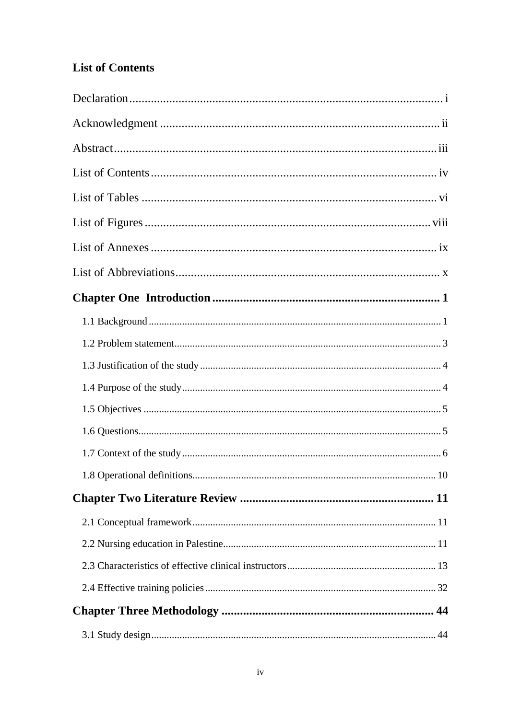## <span id="page-7-0"></span>**List of Contents**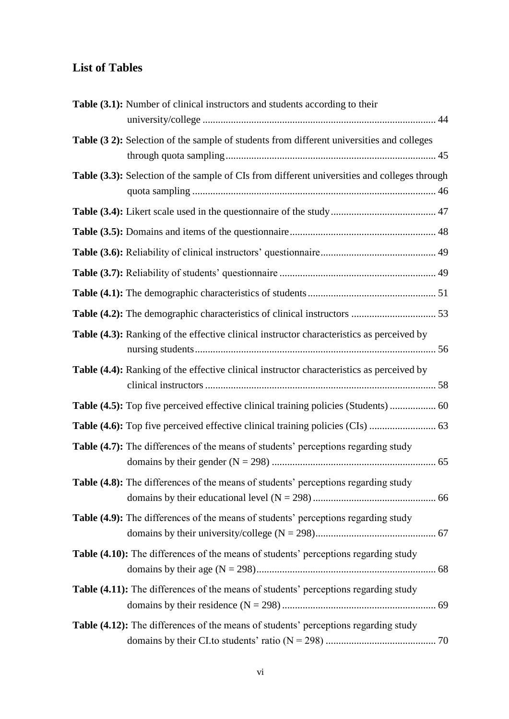### <span id="page-9-0"></span>**List of Tables**

| <b>Table (3.1):</b> Number of clinical instructors and students according to their           |  |
|----------------------------------------------------------------------------------------------|--|
|                                                                                              |  |
| Table (32): Selection of the sample of students from different universities and colleges     |  |
| Table (3.3): Selection of the sample of CIs from different universities and colleges through |  |
|                                                                                              |  |
|                                                                                              |  |
|                                                                                              |  |
|                                                                                              |  |
|                                                                                              |  |
|                                                                                              |  |
| Table (4.3): Ranking of the effective clinical instructor characteristics as perceived by    |  |
| Table (4.4): Ranking of the effective clinical instructor characteristics as perceived by    |  |
| Table (4.5): Top five perceived effective clinical training policies (Students)  60          |  |
|                                                                                              |  |
| <b>Table (4.7):</b> The differences of the means of students' perceptions regarding study    |  |
| Table (4.8): The differences of the means of students' perceptions regarding study           |  |
| Table (4.9): The differences of the means of students' perceptions regarding study           |  |
| Table (4.10): The differences of the means of students' perceptions regarding study          |  |
| Table (4.11): The differences of the means of students' perceptions regarding study          |  |
| Table (4.12): The differences of the means of students' perceptions regarding study          |  |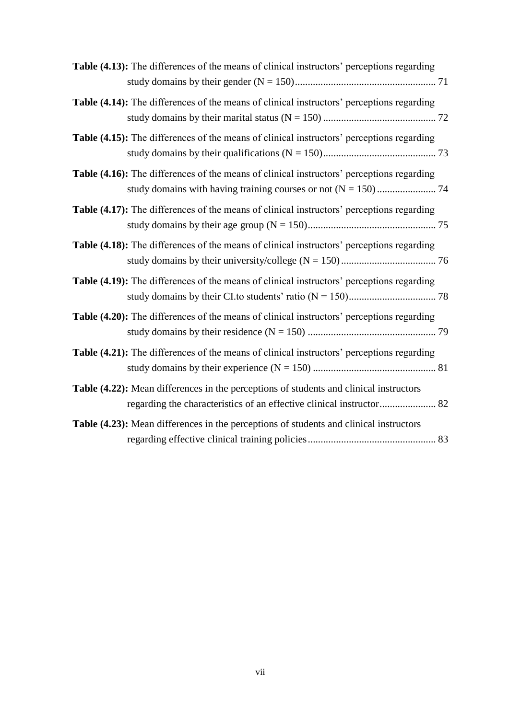| <b>Table (4.13):</b> The differences of the means of clinical instructors' perceptions regarding |  |
|--------------------------------------------------------------------------------------------------|--|
| <b>Table (4.14):</b> The differences of the means of clinical instructors' perceptions regarding |  |
| Table (4.15): The differences of the means of clinical instructors' perceptions regarding        |  |
| <b>Table (4.16):</b> The differences of the means of clinical instructors' perceptions regarding |  |
| Table (4.17): The differences of the means of clinical instructors' perceptions regarding        |  |
| <b>Table (4.18):</b> The differences of the means of clinical instructors' perceptions regarding |  |
| <b>Table (4.19):</b> The differences of the means of clinical instructors' perceptions regarding |  |
| <b>Table (4.20):</b> The differences of the means of clinical instructors' perceptions regarding |  |
| <b>Table (4.21):</b> The differences of the means of clinical instructors' perceptions regarding |  |
| Table (4.22): Mean differences in the perceptions of students and clinical instructors           |  |
| Table (4.23): Mean differences in the perceptions of students and clinical instructors           |  |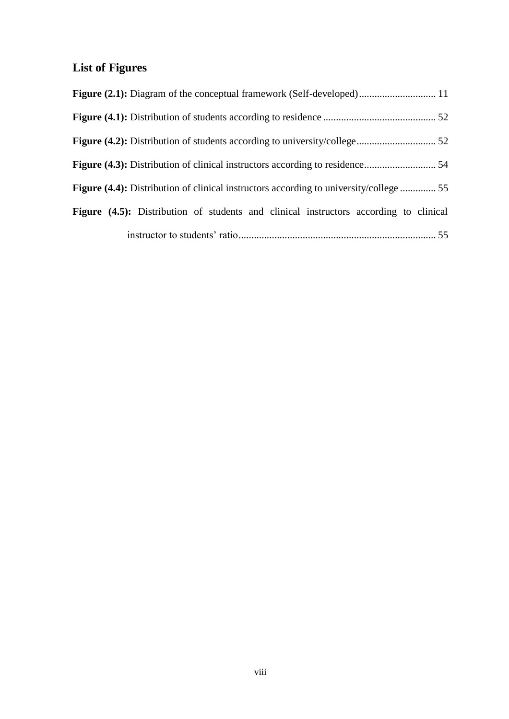## <span id="page-11-0"></span>**List of Figures**

| <b>Figure (4.4):</b> Distribution of clinical instructors according to university/college  55 |  |
|-----------------------------------------------------------------------------------------------|--|
| <b>Figure (4.5):</b> Distribution of students and clinical instructors according to clinical  |  |
|                                                                                               |  |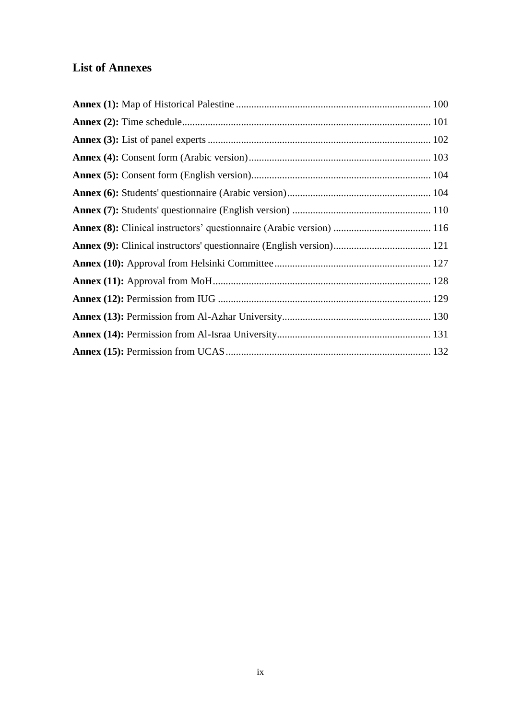### <span id="page-12-0"></span>**List of Annexes**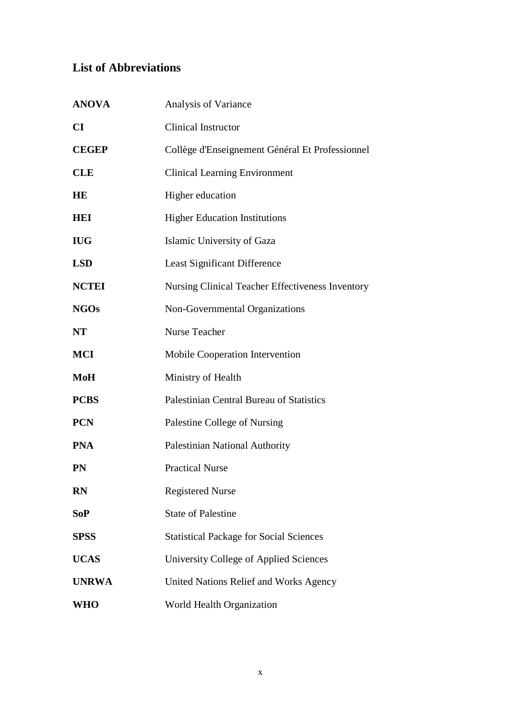## <span id="page-13-0"></span>**List of Abbreviations**

| <b>ANOVA</b>           | Analysis of Variance                             |
|------------------------|--------------------------------------------------|
| $\mathbf{C}\mathbf{I}$ | <b>Clinical Instructor</b>                       |
| <b>CEGEP</b>           | Collège d'Enseignement Général Et Professionnel  |
| <b>CLE</b>             | <b>Clinical Learning Environment</b>             |
| HE                     | Higher education                                 |
| <b>HEI</b>             | <b>Higher Education Institutions</b>             |
| <b>IUG</b>             | Islamic University of Gaza                       |
| <b>LSD</b>             | <b>Least Significant Difference</b>              |
| <b>NCTEI</b>           | Nursing Clinical Teacher Effectiveness Inventory |
| <b>NGOs</b>            | Non-Governmental Organizations                   |
| <b>NT</b>              | <b>Nurse Teacher</b>                             |
| <b>MCI</b>             | Mobile Cooperation Intervention                  |
| MoH                    | Ministry of Health                               |
| <b>PCBS</b>            | Palestinian Central Bureau of Statistics         |
| <b>PCN</b>             | Palestine College of Nursing                     |
| <b>PNA</b>             | Palestinian National Authority                   |
| <b>PN</b>              | <b>Practical Nurse</b>                           |
| <b>RN</b>              | <b>Registered Nurse</b>                          |
| <b>SoP</b>             | <b>State of Palestine</b>                        |
| <b>SPSS</b>            | <b>Statistical Package for Social Sciences</b>   |
| <b>UCAS</b>            | University College of Applied Sciences           |
| <b>UNRWA</b>           | United Nations Relief and Works Agency           |
| <b>WHO</b>             | World Health Organization                        |